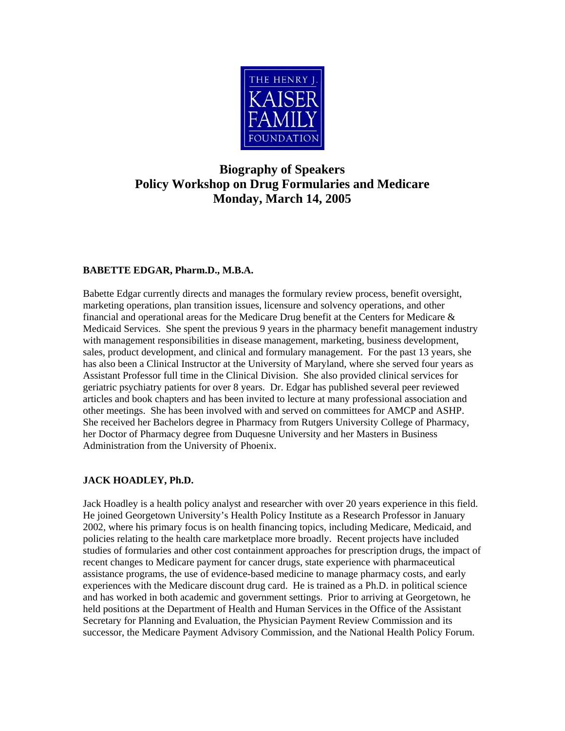

# **Biography of Speakers Policy Workshop on Drug Formularies and Medicare Monday, March 14, 2005**

## **BABETTE EDGAR, Pharm.D., M.B.A.**

Babette Edgar currently directs and manages the formulary review process, benefit oversight, marketing operations, plan transition issues, licensure and solvency operations, and other financial and operational areas for the Medicare Drug benefit at the Centers for Medicare  $\&$ Medicaid Services. She spent the previous 9 years in the pharmacy benefit management industry with management responsibilities in disease management, marketing, business development, sales, product development, and clinical and formulary management. For the past 13 years, she has also been a Clinical Instructor at the University of Maryland, where she served four years as Assistant Professor full time in the Clinical Division. She also provided clinical services for geriatric psychiatry patients for over 8 years. Dr. Edgar has published several peer reviewed articles and book chapters and has been invited to lecture at many professional association and other meetings. She has been involved with and served on committees for AMCP and ASHP. She received her Bachelors degree in Pharmacy from Rutgers University College of Pharmacy, her Doctor of Pharmacy degree from Duquesne University and her Masters in Business Administration from the University of Phoenix.

## **JACK HOADLEY, Ph.D.**

Jack Hoadley is a health policy analyst and researcher with over 20 years experience in this field. He joined Georgetown University's Health Policy Institute as a Research Professor in January 2002, where his primary focus is on health financing topics, including Medicare, Medicaid, and policies relating to the health care marketplace more broadly. Recent projects have included studies of formularies and other cost containment approaches for prescription drugs, the impact of recent changes to Medicare payment for cancer drugs, state experience with pharmaceutical assistance programs, the use of evidence-based medicine to manage pharmacy costs, and early experiences with the Medicare discount drug card. He is trained as a Ph.D. in political science and has worked in both academic and government settings. Prior to arriving at Georgetown, he held positions at the Department of Health and Human Services in the Office of the Assistant Secretary for Planning and Evaluation, the Physician Payment Review Commission and its successor, the Medicare Payment Advisory Commission, and the National Health Policy Forum.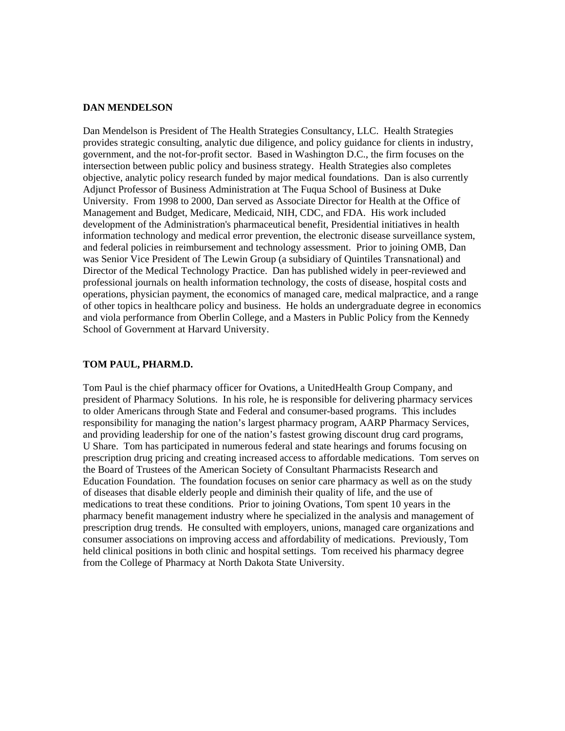#### **DAN MENDELSON**

Dan Mendelson is President of The Health Strategies Consultancy, LLC. Health Strategies provides strategic consulting, analytic due diligence, and policy guidance for clients in industry, government, and the not-for-profit sector. Based in Washington D.C., the firm focuses on the intersection between public policy and business strategy. Health Strategies also completes objective, analytic policy research funded by major medical foundations. Dan is also currently Adjunct Professor of Business Administration at The Fuqua School of Business at Duke University. From 1998 to 2000, Dan served as Associate Director for Health at the Office of Management and Budget, Medicare, Medicaid, NIH, CDC, and FDA. His work included development of the Administration's pharmaceutical benefit, Presidential initiatives in health information technology and medical error prevention, the electronic disease surveillance system, and federal policies in reimbursement and technology assessment. Prior to joining OMB, Dan was Senior Vice President of The Lewin Group (a subsidiary of Quintiles Transnational) and Director of the Medical Technology Practice. Dan has published widely in peer-reviewed and professional journals on health information technology, the costs of disease, hospital costs and operations, physician payment, the economics of managed care, medical malpractice, and a range of other topics in healthcare policy and business. He holds an undergraduate degree in economics and viola performance from Oberlin College, and a Masters in Public Policy from the Kennedy School of Government at Harvard University.

#### **TOM PAUL, PHARM.D.**

Tom Paul is the chief pharmacy officer for Ovations, a UnitedHealth Group Company, and president of Pharmacy Solutions. In his role, he is responsible for delivering pharmacy services to older Americans through State and Federal and consumer-based programs. This includes responsibility for managing the nation's largest pharmacy program, AARP Pharmacy Services, and providing leadership for one of the nation's fastest growing discount drug card programs, U Share. Tom has participated in numerous federal and state hearings and forums focusing on prescription drug pricing and creating increased access to affordable medications. Tom serves on the Board of Trustees of the American Society of Consultant Pharmacists Research and Education Foundation. The foundation focuses on senior care pharmacy as well as on the study of diseases that disable elderly people and diminish their quality of life, and the use of medications to treat these conditions. Prior to joining Ovations, Tom spent 10 years in the pharmacy benefit management industry where he specialized in the analysis and management of prescription drug trends. He consulted with employers, unions, managed care organizations and consumer associations on improving access and affordability of medications. Previously, Tom held clinical positions in both clinic and hospital settings. Tom received his pharmacy degree from the College of Pharmacy at North Dakota State University.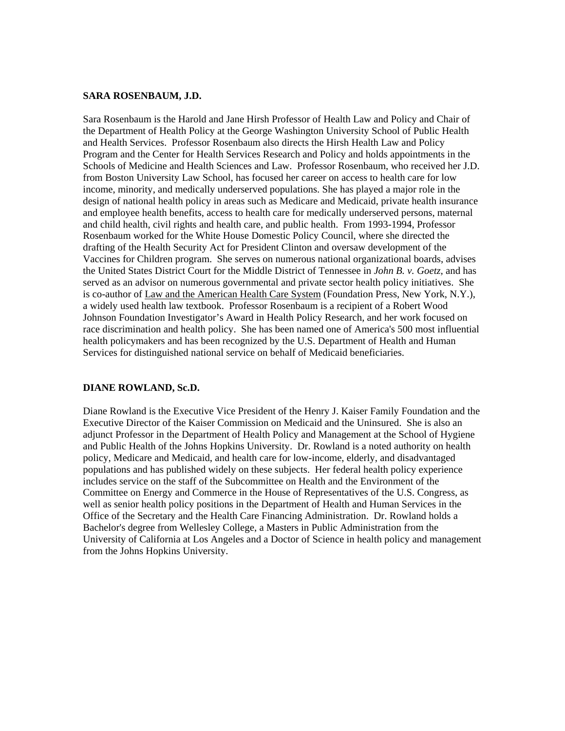#### **SARA ROSENBAUM, J.D.**

Sara Rosenbaum is the Harold and Jane Hirsh Professor of Health Law and Policy and Chair of the Department of Health Policy at the George Washington University School of Public Health and Health Services. Professor Rosenbaum also directs the Hirsh Health Law and Policy Program and the Center for Health Services Research and Policy and holds appointments in the Schools of Medicine and Health Sciences and Law. Professor Rosenbaum, who received her J.D. from Boston University Law School, has focused her career on access to health care for low income, minority, and medically underserved populations. She has played a major role in the design of national health policy in areas such as Medicare and Medicaid, private health insurance and employee health benefits, access to health care for medically underserved persons, maternal and child health, civil rights and health care, and public health. From 1993-1994, Professor Rosenbaum worked for the White House Domestic Policy Council, where she directed the drafting of the Health Security Act for President Clinton and oversaw development of the Vaccines for Children program. She serves on numerous national organizational boards, advises the United States District Court for the Middle District of Tennessee in *John B. v. Goetz,* and has served as an advisor on numerous governmental and private sector health policy initiatives. She is co-author of Law and the American Health Care System (Foundation Press, New York, N.Y.), a widely used health law textbook. Professor Rosenbaum is a recipient of a Robert Wood Johnson Foundation Investigator's Award in Health Policy Research, and her work focused on race discrimination and health policy. She has been named one of America's 500 most influential health policymakers and has been recognized by the U.S. Department of Health and Human Services for distinguished national service on behalf of Medicaid beneficiaries.

### **DIANE ROWLAND, Sc.D.**

Diane Rowland is the Executive Vice President of the Henry J. Kaiser Family Foundation and the Executive Director of the Kaiser Commission on Medicaid and the Uninsured. She is also an adjunct Professor in the Department of Health Policy and Management at the School of Hygiene and Public Health of the Johns Hopkins University. Dr. Rowland is a noted authority on health policy, Medicare and Medicaid, and health care for low-income, elderly, and disadvantaged populations and has published widely on these subjects. Her federal health policy experience includes service on the staff of the Subcommittee on Health and the Environment of the Committee on Energy and Commerce in the House of Representatives of the U.S. Congress, as well as senior health policy positions in the Department of Health and Human Services in the Office of the Secretary and the Health Care Financing Administration. Dr. Rowland holds a Bachelor's degree from Wellesley College, a Masters in Public Administration from the University of California at Los Angeles and a Doctor of Science in health policy and management from the Johns Hopkins University.